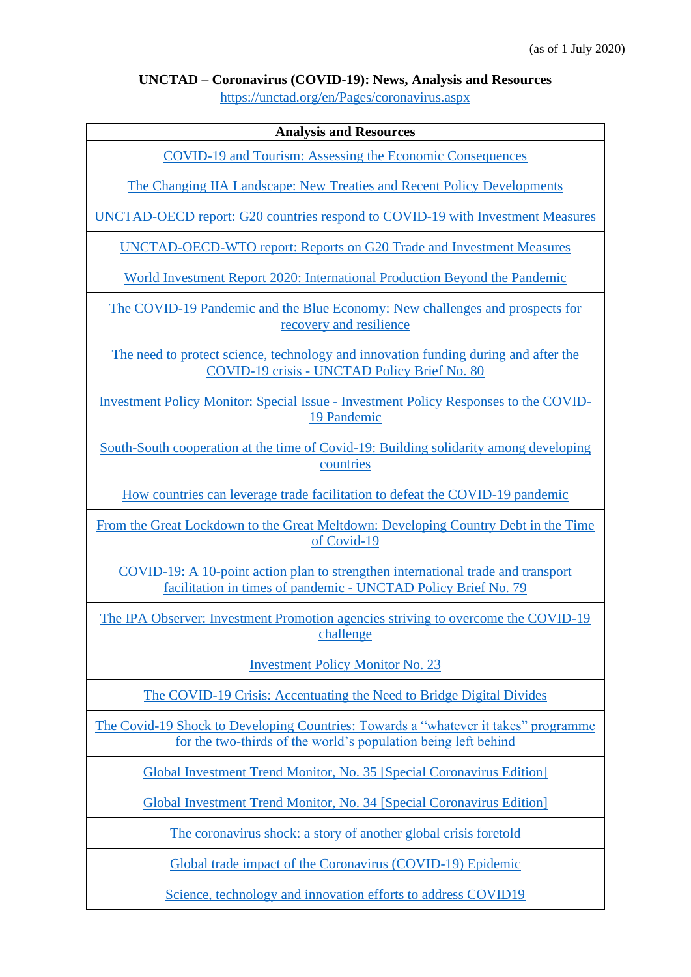### **UNCTAD – Coronavirus (COVID-19): News, Analysis and Resources**

<https://unctad.org/en/Pages/coronavirus.aspx>

#### **Analysis and Resources**

COVID-19 and Tourism: [Assessing the Economic Consequences](https://unctad.org/en/PublicationsLibrary/ditcinf2020d3_en.pdf)

[The Changing IIA Landscape: New Treaties and Recent Policy Developments](https://unctad.org/en/PublicationsLibrary/diaepcbinf2020d4.pdf)

[UNCTAD-OECD report: G20 countries respond to COVID-19 with Investment Measures](https://unctad.org/en/PublicationsLibrary/unctad_oecd2020d23_en.pdf)

[UNCTAD-OECD-WTO report: Reports on G20 Trade and Investment Measures](https://unctad.org/en/PublicationsLibrary/unctad_oecd2020d23_summary_en.pdf)

[World Investment Report 2020: International Production Beyond the Pandemic](https://unctad.org/en/PublicationsLibrary/wir2020_en.pdf)

[The COVID-19 Pandemic and the Blue Economy:](https://unctad.org/en/PublicationsLibrary/ditctedinf2020d2_en.pdf) New challenges and prospects for [recovery and resilience](https://unctad.org/en/PublicationsLibrary/ditctedinf2020d2_en.pdf)

[The need to protect science, technology and innovation funding during and after the](https://unctad.org/en/PublicationsLibrary/presspb2020d4_en.pdf)  COVID-19 crisis - [UNCTAD Policy Brief No. 80](https://unctad.org/en/PublicationsLibrary/presspb2020d4_en.pdf)

Investment Policy Monitor: Special Issue - [Investment Policy Responses to the COVID-](https://unctad.org/en/PublicationsLibrary/diaepcbinf2020d3_en.pdf)[19 Pandemic](https://unctad.org/en/PublicationsLibrary/diaepcbinf2020d3_en.pdf)

[South-South cooperation at the time of Covid-19: Building solidarity among developing](https://unctad.org/en/PublicationsLibrary/gdsinf2020d4_en.pdf)  [countries](https://unctad.org/en/PublicationsLibrary/gdsinf2020d4_en.pdf)

[How countries can leverage trade facilitation to defeat the COVID-19 pandemic](https://unctad.org/en/PublicationsLibrary/dtlinf2020d2_en.pdf)

[From the Great Lockdown to the Great](https://unctad.org/en/PublicationsLibrary/gdsinf2020d3_en.pdf) Meltdown: Developing Country Debt in the Time [of Covid-19](https://unctad.org/en/PublicationsLibrary/gdsinf2020d3_en.pdf)

[COVID-19: A 10-point action plan to strengthen international trade and transport](https://unctad.org/en/PublicationsLibrary/presspb2020d3_en.pdf)  [facilitation in times of pandemic -](https://unctad.org/en/PublicationsLibrary/presspb2020d3_en.pdf) UNCTAD Policy Brief No. 79

[The IPA Observer: Investment Promotion agencies striving to overcome the COVID-19](https://unctad.org/en/PublicationsLibrary/diaepcbinf2020d2_en.pdf)  [challenge](https://unctad.org/en/PublicationsLibrary/diaepcbinf2020d2_en.pdf)

[Investment Policy Monitor No. 23](https://unctad.org/en/PublicationsLibrary/diaepcbinf2020d1_en.pdf)

The COVID-19 Crisis: [Accentuating the Need to Bridge Digital Divides](https://unctad.org/en/PublicationsLibrary/dtlinf2020d1_en.pdf)

[The Covid-19 Shock to Developing Countries:](https://unctad.org/en/PublicationsLibrary/gds_tdr2019_covid2_en.pdf) Towards a "whatever it takes" programme [for the two-thirds of the world's population being left behind](https://unctad.org/en/PublicationsLibrary/gds_tdr2019_covid2_en.pdf)

[Global Investment Trend Monitor, No. 35 \[Special Coronavirus Edition\]](https://unctad.org/en/PublicationsLibrary/diaeiainf2020d3_en.pdf)

[Global Investment Trend Monitor, No. 34 \[Special Coronavirus Edition\]](https://unctad.org/en/PublicationsLibrary/diaeinf2020d2_en.pdf)

[The coronavirus shock: a story of another global crisis foretold](https://unctad.org/en/PublicationsLibrary/gds_tdr2019_update_coronavirus.pdf)

[Global trade impact of the Coronavirus \(COVID-19\) Epidemic](https://unctad.org/en/PublicationsLibrary/ditcinf2020d1.pdf)

[Science, technology and innovation efforts to address COVID19](https://unctad.org/en/Pages/CSTD/CSTD-and-COVID-19.aspx)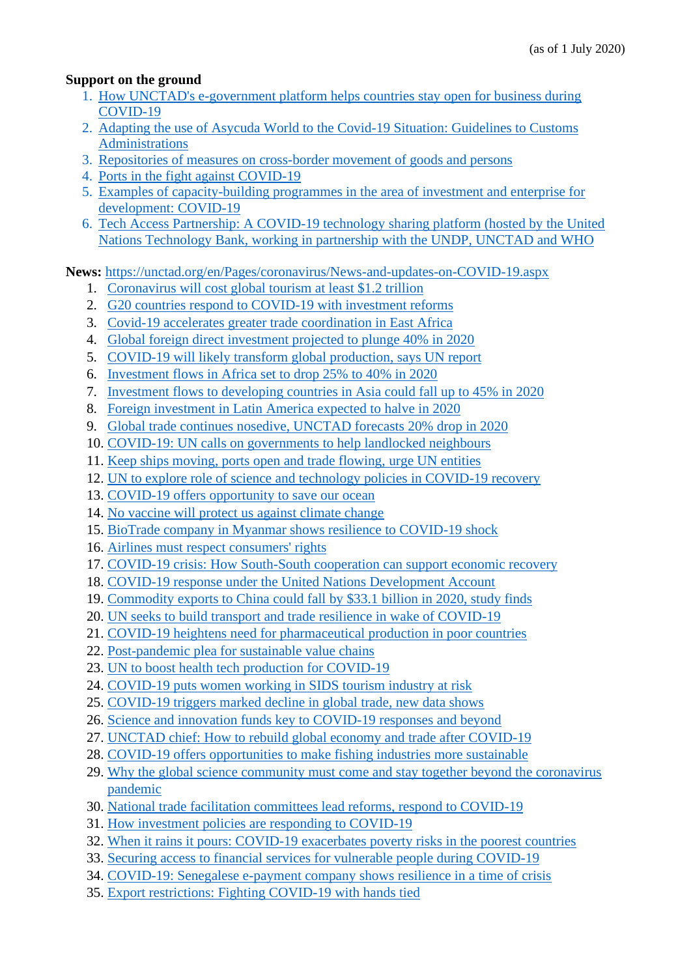### **Support on the ground**

- 1. [How UNCTAD's e-government platform helps countries stay open for business during](https://unctad.org/en/PublicationsLibrary/diae2020infd1_en.pdf)  [COVID-19](https://unctad.org/en/PublicationsLibrary/diae2020infd1_en.pdf)
- 2. [Adapting the use of Asycuda World to the Covid-19 Situation: Guidelines to Customs](https://unctad.org/en/PublicationsLibrary/dtlasycudainf2020d1_en.pdf)  [Administrations](https://unctad.org/en/PublicationsLibrary/dtlasycudainf2020d1_en.pdf)
- 3. [Repositories of measures on cross-border movement of goods and persons](https://unctad.org/en/Pages/Coronavirus/measures-affecting-cross-border-movement-of-goods-and-persons.aspx)
- 4. [Ports in the fight against COVID-19](https://tft.unctad.org/ports-covid-19/)
- 5. Examples of capacity-building programmes in the area of investment and enterprise for development: COVID-19
- 6. [Tech Access Partnership: A COVID-19 technology sharing platform \(hosted by the United](https://techaccesspartnership.org/)  [Nations Technology Bank, working in partnership with the UNDP, UNCTAD and WHO](https://techaccesspartnership.org/)

**News:** <https://unctad.org/en/Pages/coronavirus/News-and-updates-on-COVID-19.aspx>

- 1. [Coronavirus will cost global tourism at least \\$1.2 trillion](https://unctad.org/en/pages/newsdetails.aspx?OriginalVersionID=2416)
- 2. [G20 countries respond to COVID-19 with investment reforms](https://unctad.org/en/pages/newsdetails.aspx?OriginalVersionID=2414)
- 3. [Covid-19 accelerates greater trade coordination in East Africa](https://unctad.org/en/pages/newsdetails.aspx?OriginalVersionID=2411)
- 4. [Global foreign direct investment projected to plunge 40% in 2020](https://unctad.org/en/pages/newsdetails.aspx?OriginalVersionID=2396)
- 5. [COVID-19 will likely transform global production, says UN report](https://unctad.org/en/pages/newsdetails.aspx?OriginalVersionID=2397)
- 6. [Investment flows in Africa set to drop 25% to 40% in 2020](https://unctad.org/en/pages/newsdetails.aspx?OriginalVersionID=2400)
- 7. [Investment flows to developing countries in Asia could fall up to 45% in 2020](https://unctad.org/en/pages/newsdetails.aspx?OriginalVersionID=2399)
- 8. [Foreign investment in Latin America expected to halve in 2020](https://unctad.org/en/pages/newsdetails.aspx?OriginalVersionID=2398)
- 9. [Global trade continues nosedive, UNCTAD forecasts 20% drop in 2020](https://unctad.org/en/pages/newsdetails.aspx?OriginalVersionID=2392)
- 10. [COVID-19: UN calls on governments to help landlocked neighbours](https://unctad.org/en/pages/newsdetails.aspx?OriginalVersionID=2391)
- 11. [Keep ships moving, ports open and trade flowing, urge UN entities](https://unctad.org/en/pages/newsdetails.aspx?OriginalVersionID=2390)
- 12. [UN to explore role of science and technology policies in COVID-19 recovery](https://unctad.org/en/pages/newsdetails.aspx?OriginalVersionID=2389)
- 13. [COVID-19 offers opportunity to save our ocean](https://unctad.org/en/pages/newsdetails.aspx?OriginalVersionID=2387)
- 14. [No vaccine will protect us against climate change](https://unctad.org/en/pages/newsdetails.aspx?OriginalVersionID=2384)
- 15. [BioTrade company in Myanmar shows resilience to COVID-19 shock](https://unctad.org/en/pages/newsdetails.aspx?OriginalVersionID=2382)
- 16. [Airlines must respect consumers' rights](https://unctad.org/en/pages/newsdetails.aspx?OriginalVersionID=2383)
- 17. [COVID-19 crisis: How South-South cooperation can support economic recovery](https://unctad.org/en/pages/newsdetails.aspx?OriginalVersionID=2381)
- 18. [COVID-19 response under the United Nations Development Account](https://unctad.org/en/pages/newsdetails.aspx?OriginalVersionID=2386)
- 19. [Commodity exports to China could fall by \\$33.1 billion in 2020, study finds](https://unctad.org/en/pages/newsdetails.aspx?OriginalVersionID=2379)
- 20. [UN seeks to build transport and trade resilience in wake of COVID-19](https://unctad.org/en/pages/newsdetails.aspx?OriginalVersionID=2377)
- 21. [COVID-19 heightens need for pharmaceutical production in poor countries](https://unctad.org/en/pages/newsdetails.aspx?OriginalVersionID=2375)
- 22. [Post-pandemic plea for sustainable value chains](https://unctad.org/en/pages/newsdetails.aspx?OriginalVersionID=2376)
- 23. [UN to boost health tech production for COVID-19](https://unctad.org/en/pages/newsdetails.aspx?OriginalVersionID=2371)
- 24. [COVID-19 puts women working in SIDS tourism industry at risk](https://unctad.org/en/pages/newsdetails.aspx?OriginalVersionID=2370)
- 25. [COVID-19 triggers marked decline in global trade, new data shows](https://unctad.org/en/pages/newsdetails.aspx?OriginalVersionID=2369)
- 26. [Science and innovation funds key to COVID-19 responses and beyond](https://unctad.org/en/pages/newsdetails.aspx?OriginalVersionID=2368)
- 27. [UNCTAD chief: How to rebuild global economy and trade after COVID-19](https://unctad.org/en/pages/newsdetails.aspx?OriginalVersionID=2363)
- 28. [COVID-19 offers opportunities to make fishing industries more sustainable](https://unctad.org/en/pages/newsdetails.aspx?OriginalVersionID=2360)
- 29. [Why the global science community must come and stay together beyond the coronavirus](https://unctad.org/en/pages/newsdetails.aspx?OriginalVersionID=2357)  [pandemic](https://unctad.org/en/pages/newsdetails.aspx?OriginalVersionID=2357)
- 30. [National trade facilitation committees lead reforms, respond to COVID-19](https://unctad.org/en/pages/newsdetails.aspx?OriginalVersionID=2358)
- 31. [How investment policies are responding to COVID-19](https://unctad.org/en/pages/newsdetails.aspx?OriginalVersionID=2353)
- 32. [When it rains it pours: COVID-19 exacerbates poverty risks in the poorest countries](https://unctad.org/en/pages/newsdetails.aspx?OriginalVersionID=2356)
- 33. [Securing access to financial services for vulnerable people during COVID-19](https://unctad.org/en/pages/newsdetails.aspx?OriginalVersionID=2355)
- 34. [COVID-19: Senegalese e-payment company shows resilience in a time of crisis](https://unctad.org/en/pages/newsdetails.aspx?OriginalVersionID=2354)
- 35. [Export restrictions: Fighting COVID-19 with hands tied](https://unctad.org/en/pages/newsdetails.aspx?OriginalVersionID=2346)